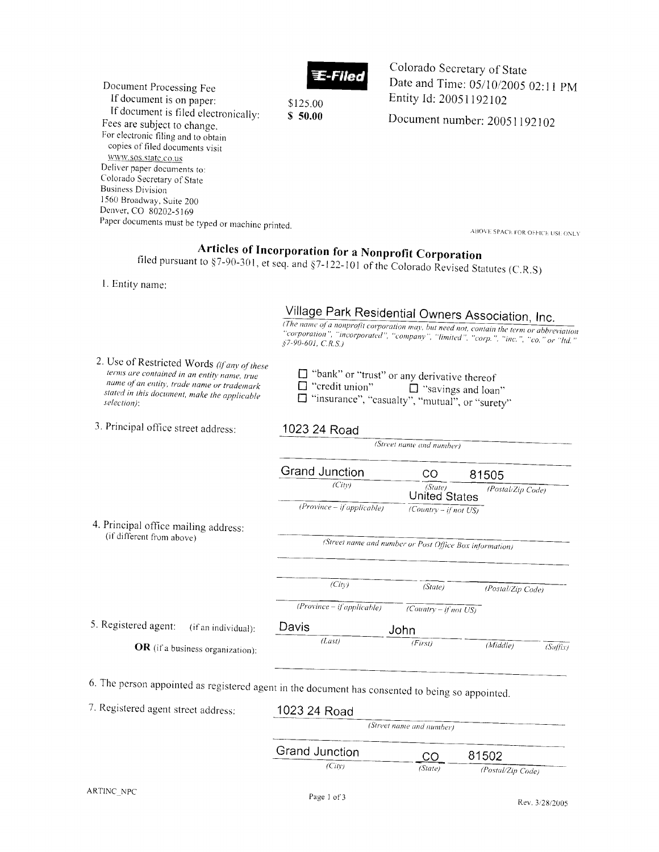

Document Processing Fee If document is on paper: \$125.00 If document is filed electronically:  $$50.00$ Fees are subject to change. For electronic filing and to obtain copies of filed documents visit www.sos.state.co.us Deliver paper documents to: Colorado Secretary of State **Business Division** 1560 Broadway, Suite 200 Denver, CO 80202-5169 Paper documents must be typed or machine printed.

Colorado Secretary of State Date and Time: 05/10/2005 02:11 PM Entity Id: 20051192102

Document number: 20051192102

ABOVE SPACE FOR OFFICE USE ONLY

## Articles of Incorporation for a Nonprofit Corporation

filed pursuant to  $§7-90-301$ , et seq. and  $§7-122-101$  of the Colorado Revised Statutes (C.R.S)

1. Entity name:

|                                                                                                                                                                                                         | Village Park Residential Owners Association, Inc.<br>(The name of a nonprofit corporation may, but need not, contain the term or abbreviation<br>"corporation", "incorporated", "company", "limited", "corp.", "inc.", "co." or "ltd."<br>$$7-90-601, C.R.S.)$ |                                    |                      |  |  |
|---------------------------------------------------------------------------------------------------------------------------------------------------------------------------------------------------------|----------------------------------------------------------------------------------------------------------------------------------------------------------------------------------------------------------------------------------------------------------------|------------------------------------|----------------------|--|--|
| 2. Use of Restricted Words (if any of these<br>terms are contained in an entity name, true<br>name of an entity, trade name or trademark<br>stated in this document, make the applicable<br>selection): | $\Box$ "bank" or "trust" or any derivative thereof<br>$\Box$ "credit union"<br>$\Box$ "savings and loan"<br>□ "insurance", "casualty", "mutual", or "surety"                                                                                                   |                                    |                      |  |  |
| 3. Principal office street address:                                                                                                                                                                     | 1023 24 Road                                                                                                                                                                                                                                                   |                                    |                      |  |  |
|                                                                                                                                                                                                         |                                                                                                                                                                                                                                                                | (Street name and number)           |                      |  |  |
|                                                                                                                                                                                                         | Grand Junction                                                                                                                                                                                                                                                 | CO                                 | 81505                |  |  |
|                                                                                                                                                                                                         | (City)                                                                                                                                                                                                                                                         | (State)<br><b>United States</b>    | (Postal/Zip Code)    |  |  |
|                                                                                                                                                                                                         | $(Province - if applicable)$                                                                                                                                                                                                                                   | $\sqrt{Country - if not US}$       |                      |  |  |
| 4. Principal office mailing address:                                                                                                                                                                    |                                                                                                                                                                                                                                                                |                                    |                      |  |  |
| (if different from above)                                                                                                                                                                               | (Street name and number or Post Office Box information)                                                                                                                                                                                                        |                                    |                      |  |  |
|                                                                                                                                                                                                         |                                                                                                                                                                                                                                                                |                                    |                      |  |  |
|                                                                                                                                                                                                         | (City)                                                                                                                                                                                                                                                         | (State)                            | (Postal/Zip Code)    |  |  |
|                                                                                                                                                                                                         | $(Province - if applicable)$                                                                                                                                                                                                                                   | $\overline{(Country - if not US)}$ |                      |  |  |
| 5. Registered agent:<br>(if an individual):                                                                                                                                                             | Davis                                                                                                                                                                                                                                                          | John                               |                      |  |  |
| OR (if a business organization):                                                                                                                                                                        | (Last)                                                                                                                                                                                                                                                         | (First)                            | (Middle)<br>(Suffix) |  |  |
| 6. The person appointed as registered agent in the document has consented to being so appointed.                                                                                                        |                                                                                                                                                                                                                                                                |                                    |                      |  |  |
| 7. Registered agent street address:                                                                                                                                                                     | 1023 24 Road                                                                                                                                                                                                                                                   |                                    |                      |  |  |
|                                                                                                                                                                                                         | (Street name and number)                                                                                                                                                                                                                                       |                                    |                      |  |  |
|                                                                                                                                                                                                         | <b>Grand Junction</b>                                                                                                                                                                                                                                          | CO                                 | 81502                |  |  |
|                                                                                                                                                                                                         | (City)                                                                                                                                                                                                                                                         | (State)                            | (Postal/Zip Code)    |  |  |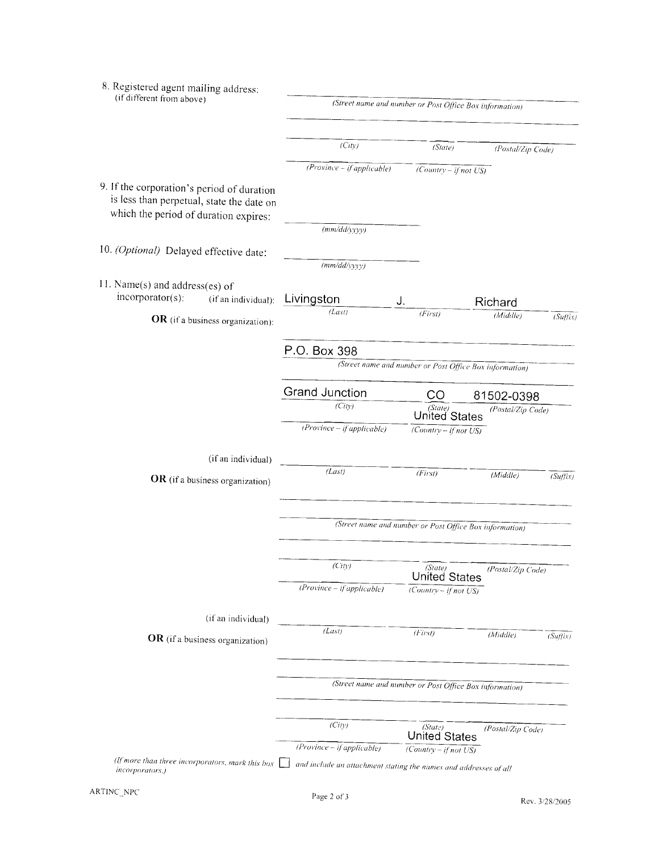| 8. Registered agent mailing address:<br>(if different from above)                                                                | (Street name and number or Post Office Box information) |                                 |                   |          |  |
|----------------------------------------------------------------------------------------------------------------------------------|---------------------------------------------------------|---------------------------------|-------------------|----------|--|
|                                                                                                                                  |                                                         |                                 |                   |          |  |
|                                                                                                                                  | (City)                                                  | (State)                         |                   |          |  |
|                                                                                                                                  | $(Province - if applicable)$                            |                                 | (Postal/Zip Code) |          |  |
|                                                                                                                                  |                                                         | $\sqrt{Country - if not US}$    |                   |          |  |
| 9. If the corporation's period of duration<br>is less than perpetual, state the date on<br>which the period of duration expires: |                                                         |                                 |                   |          |  |
|                                                                                                                                  | (mm/dd/yyyy)                                            |                                 |                   |          |  |
| 10. (Optional) Delayed effective date:                                                                                           |                                                         |                                 |                   |          |  |
|                                                                                                                                  | (mm/dd/yyy)                                             |                                 |                   |          |  |
| 11. Name(s) and address(es) of<br>$incorporator(s)$ :<br>(if an individual):                                                     | Livingston                                              | J.                              | Richard           |          |  |
| OR (if a business organization):                                                                                                 | (Las)                                                   | (Firsi)                         | (Middle)          | (Suffix) |  |
|                                                                                                                                  | P.O. Box 398                                            |                                 |                   |          |  |
|                                                                                                                                  | (Street name and number or Post Office Box information) |                                 |                   |          |  |
|                                                                                                                                  | Grand Junction                                          | CO                              | 81502-0398        |          |  |
|                                                                                                                                  | (City)                                                  | (State)<br>United States        | (Postal/Zip Code) |          |  |
|                                                                                                                                  | $(Province - if applicable)$                            | $\sqrt{Country - if not US}$    |                   |          |  |
| (if an individual)                                                                                                               |                                                         |                                 |                   |          |  |
| OR (if a business organization)                                                                                                  | (Last)                                                  | (Firs)                          | (Middle)          | (Suffix) |  |
|                                                                                                                                  | (Street name and number or Post Office Box information) |                                 |                   |          |  |
|                                                                                                                                  |                                                         |                                 |                   |          |  |
|                                                                                                                                  | (City)                                                  | (State)<br><b>United States</b> | (Postal/Zip Code) |          |  |
|                                                                                                                                  | $(Province - if applicable)$                            | $\sqrt{Country - if not US}$    |                   |          |  |
| (if an individual)                                                                                                               |                                                         |                                 |                   |          |  |
| OR (if a business organization)                                                                                                  | (Last)                                                  | (First)                         | (Middle)          | (Suffix) |  |
|                                                                                                                                  | (Street name and number or Post Office Box information) |                                 |                   |          |  |
|                                                                                                                                  |                                                         |                                 |                   |          |  |
|                                                                                                                                  | (City)                                                  | (State)<br>United States        | (Postal/Zip Code) |          |  |
|                                                                                                                                  | (Province - if applicable)                              | $\sqrt{Country - if not US}$    |                   |          |  |